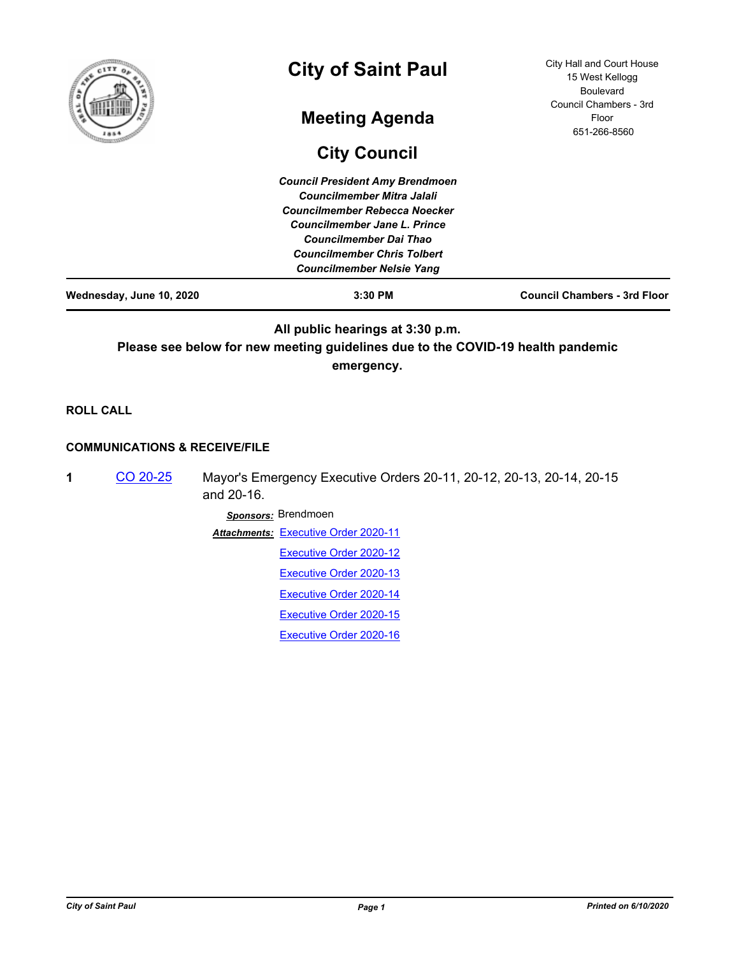| Wednesday, June 10, 2020 | $3:30$ PM                                                                                                                                                                                              | <b>Council Chambers - 3rd Floor</b>                                 |
|--------------------------|--------------------------------------------------------------------------------------------------------------------------------------------------------------------------------------------------------|---------------------------------------------------------------------|
|                          | <b>Councilmember Mitra Jalali</b><br>Councilmember Rebecca Noecker<br>Councilmember Jane L. Prince<br>Councilmember Dai Thao<br><b>Councilmember Chris Tolbert</b><br><b>Councilmember Nelsie Yang</b> |                                                                     |
|                          | <b>Council President Amy Brendmoen</b>                                                                                                                                                                 |                                                                     |
|                          | <b>City Council</b>                                                                                                                                                                                    |                                                                     |
| ۰                        | <b>Meeting Agenda</b>                                                                                                                                                                                  | <b>Boulevard</b><br>Council Chambers - 3rd<br>Floor<br>651-266-8560 |
| f                        | <b>City of Saint Paul</b>                                                                                                                                                                              | City Hall and Court House<br>15 West Kellogg                        |

**Please see below for new meeting guidelines due to the COVID-19 health pandemic emergency.**

**ROLL CALL**

# **COMMUNICATIONS & RECEIVE/FILE**

**1** [CO 20-25](http://stpaul.legistar.com/gateway.aspx?m=l&id=/matter.aspx?key=34771) Mayor's Emergency Executive Orders 20-11, 20-12, 20-13, 20-14, 20-15 and 20-16.

*Sponsors:* Brendmoen

**Attachments: [Executive Order 2020-11](http://StPaul.legistar.com/gateway.aspx?M=F&ID=191b9892-1cf4-4218-9fba-4528265cb190.pdf)** 

[Executive Order 2020-12](http://StPaul.legistar.com/gateway.aspx?M=F&ID=f20d3cf6-1a07-4cfe-914e-528163e45441.pdf)

[Executive Order 2020-13](http://StPaul.legistar.com/gateway.aspx?M=F&ID=cc69bed8-20d5-4f88-8486-992b10b26a7e.pdf)

[Executive Order 2020-14](http://StPaul.legistar.com/gateway.aspx?M=F&ID=340545a5-c4bf-495a-b4c3-7fc50156fd83.pdf)

[Executive Order 2020-15](http://StPaul.legistar.com/gateway.aspx?M=F&ID=05edc2ac-1d7e-425e-84a0-868381bad797.pdf)

[Executive Order 2020-16](http://StPaul.legistar.com/gateway.aspx?M=F&ID=a3155aae-be21-4067-9a15-ba34f8410a2a.pdf)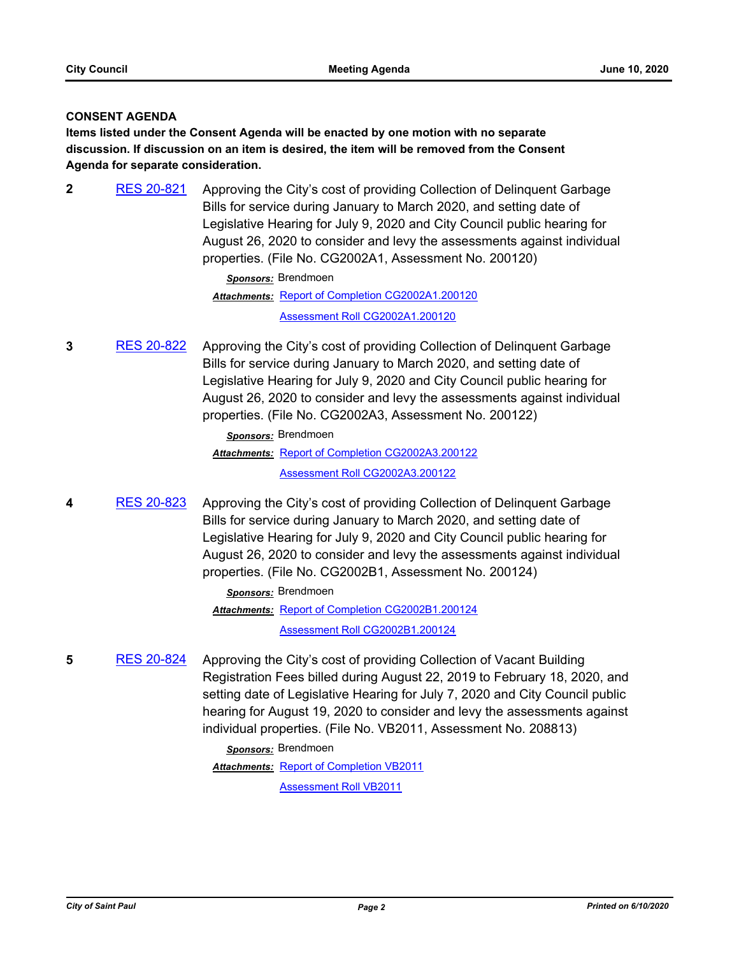# **CONSENT AGENDA**

**Items listed under the Consent Agenda will be enacted by one motion with no separate discussion. If discussion on an item is desired, the item will be removed from the Consent Agenda for separate consideration.**

**2** [RES 20-821](http://stpaul.legistar.com/gateway.aspx?m=l&id=/matter.aspx?key=34751) Approving the City's cost of providing Collection of Delinquent Garbage Bills for service during January to March 2020, and setting date of Legislative Hearing for July 9, 2020 and City Council public hearing for August 26, 2020 to consider and levy the assessments against individual properties. (File No. CG2002A1, Assessment No. 200120)

> *Sponsors:* Brendmoen Attachments: [Report of Completion CG2002A1.200120](http://StPaul.legistar.com/gateway.aspx?M=F&ID=a18e3bcd-e2b1-4059-bb13-4e7c38a00300.pdf) [Assessment Roll CG2002A1.200120](http://StPaul.legistar.com/gateway.aspx?M=F&ID=140de530-ac08-4dc2-a2f2-a74d4d094201.pdf)

**3** [RES 20-822](http://stpaul.legistar.com/gateway.aspx?m=l&id=/matter.aspx?key=34752) Approving the City's cost of providing Collection of Delinquent Garbage Bills for service during January to March 2020, and setting date of Legislative Hearing for July 9, 2020 and City Council public hearing for August 26, 2020 to consider and levy the assessments against individual properties. (File No. CG2002A3, Assessment No. 200122)

> *Sponsors:* Brendmoen Attachments: [Report of Completion CG2002A3.200122](http://StPaul.legistar.com/gateway.aspx?M=F&ID=8e23af84-a9ed-4e56-b609-ee9a64c08346.pdf)

[Assessment Roll CG2002A3.200122](http://StPaul.legistar.com/gateway.aspx?M=F&ID=f0c2bd61-5d7c-4839-ad1b-e16fa0a74d4c.pdf)

**4** [RES 20-823](http://stpaul.legistar.com/gateway.aspx?m=l&id=/matter.aspx?key=34753) Approving the City's cost of providing Collection of Delinquent Garbage Bills for service during January to March 2020, and setting date of Legislative Hearing for July 9, 2020 and City Council public hearing for August 26, 2020 to consider and levy the assessments against individual properties. (File No. CG2002B1, Assessment No. 200124)

*Sponsors:* Brendmoen

Attachments: [Report of Completion CG2002B1.200124](http://StPaul.legistar.com/gateway.aspx?M=F&ID=f478af32-5ab2-4b01-b76e-027a57b19e4f.pdf)

[Assessment Roll CG2002B1.200124](http://StPaul.legistar.com/gateway.aspx?M=F&ID=1edb522b-c260-4052-860f-5247311dddd9.pdf)

**5** [RES 20-824](http://stpaul.legistar.com/gateway.aspx?m=l&id=/matter.aspx?key=34754) Approving the City's cost of providing Collection of Vacant Building Registration Fees billed during August 22, 2019 to February 18, 2020, and setting date of Legislative Hearing for July 7, 2020 and City Council public hearing for August 19, 2020 to consider and levy the assessments against individual properties. (File No. VB2011, Assessment No. 208813)

> *Sponsors:* Brendmoen **Attachments: [Report of Completion VB2011](http://StPaul.legistar.com/gateway.aspx?M=F&ID=17e51743-520b-4d03-9e24-365d35b3950b.pdf)**

[Assessment Roll VB2011](http://StPaul.legistar.com/gateway.aspx?M=F&ID=04400e54-a9bf-4d3f-9081-b6e804d57ccb.pdf)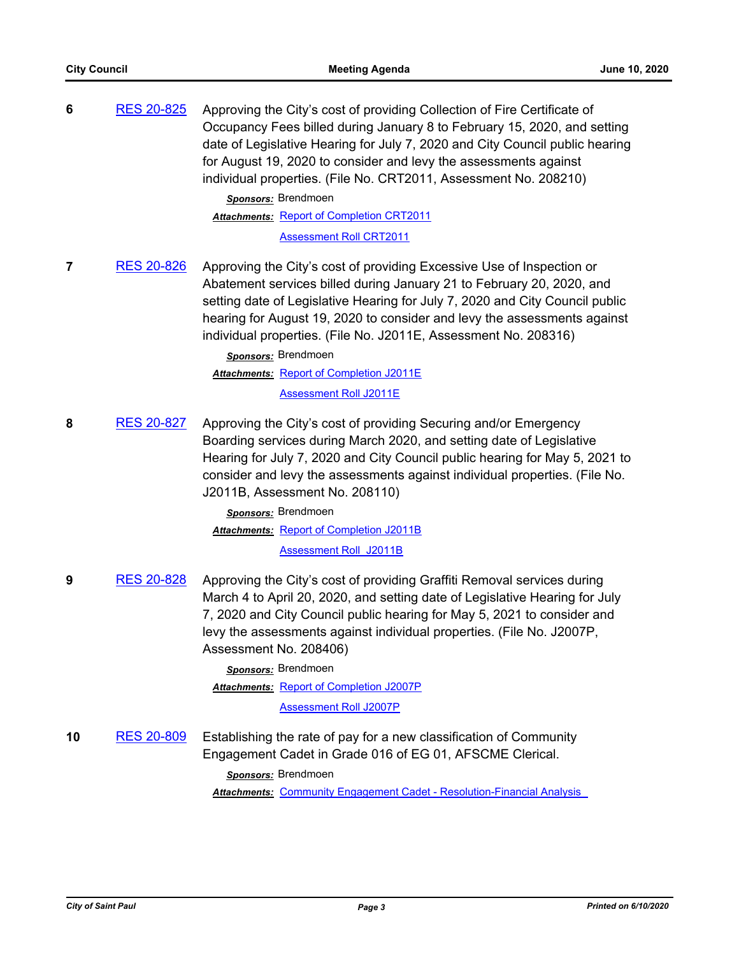|    |                   | Occupancy Fees billed during January 8 to February 15, 2020, and setting<br>date of Legislative Hearing for July 7, 2020 and City Council public hearing<br>for August 19, 2020 to consider and levy the assessments against<br>individual properties. (File No. CRT2011, Assessment No. 208210)<br>Sponsors: Brendmoen                                                                              |
|----|-------------------|------------------------------------------------------------------------------------------------------------------------------------------------------------------------------------------------------------------------------------------------------------------------------------------------------------------------------------------------------------------------------------------------------|
|    |                   | <b>Attachments: Report of Completion CRT2011</b>                                                                                                                                                                                                                                                                                                                                                     |
|    |                   | <b>Assessment Roll CRT2011</b>                                                                                                                                                                                                                                                                                                                                                                       |
| 7  | <b>RES 20-826</b> | Approving the City's cost of providing Excessive Use of Inspection or<br>Abatement services billed during January 21 to February 20, 2020, and<br>setting date of Legislative Hearing for July 7, 2020 and City Council public<br>hearing for August 19, 2020 to consider and levy the assessments against<br>individual properties. (File No. J2011E, Assessment No. 208316)<br>Sponsors: Brendmoen |
|    |                   | Attachments: Report of Completion J2011E                                                                                                                                                                                                                                                                                                                                                             |
|    |                   | <b>Assessment Roll J2011E</b>                                                                                                                                                                                                                                                                                                                                                                        |
| 8  | <b>RES 20-827</b> | Approving the City's cost of providing Securing and/or Emergency<br>Boarding services during March 2020, and setting date of Legislative<br>Hearing for July 7, 2020 and City Council public hearing for May 5, 2021 to<br>consider and levy the assessments against individual properties. (File No.<br>J2011B, Assessment No. 208110)<br>Sponsors: Brendmoen                                       |
|    |                   | <b>Attachments: Report of Completion J2011B</b>                                                                                                                                                                                                                                                                                                                                                      |
|    |                   | <b>Assessment Roll J2011B</b>                                                                                                                                                                                                                                                                                                                                                                        |
| 9  | <b>RES 20-828</b> | Approving the City's cost of providing Graffiti Removal services during<br>March 4 to April 20, 2020, and setting date of Legislative Hearing for July<br>7, 2020 and City Council public hearing for May 5, 2021 to consider and<br>levy the assessments against individual properties. (File No. J2007P,<br>Assessment No. 208406)                                                                 |
|    |                   | Sponsors: Brendmoen                                                                                                                                                                                                                                                                                                                                                                                  |
|    |                   | <b>Attachments: Report of Completion J2007P</b>                                                                                                                                                                                                                                                                                                                                                      |
|    |                   | <b>Assessment Roll J2007P</b>                                                                                                                                                                                                                                                                                                                                                                        |
| 10 | <b>RES 20-809</b> | Establishing the rate of pay for a new classification of Community<br>Engagement Cadet in Grade 016 of EG 01, AFSCME Clerical.<br>Sponsors: Brendmoen<br><b>Attachments: Community Engagement Cadet - Resolution-Financial Analysis</b>                                                                                                                                                              |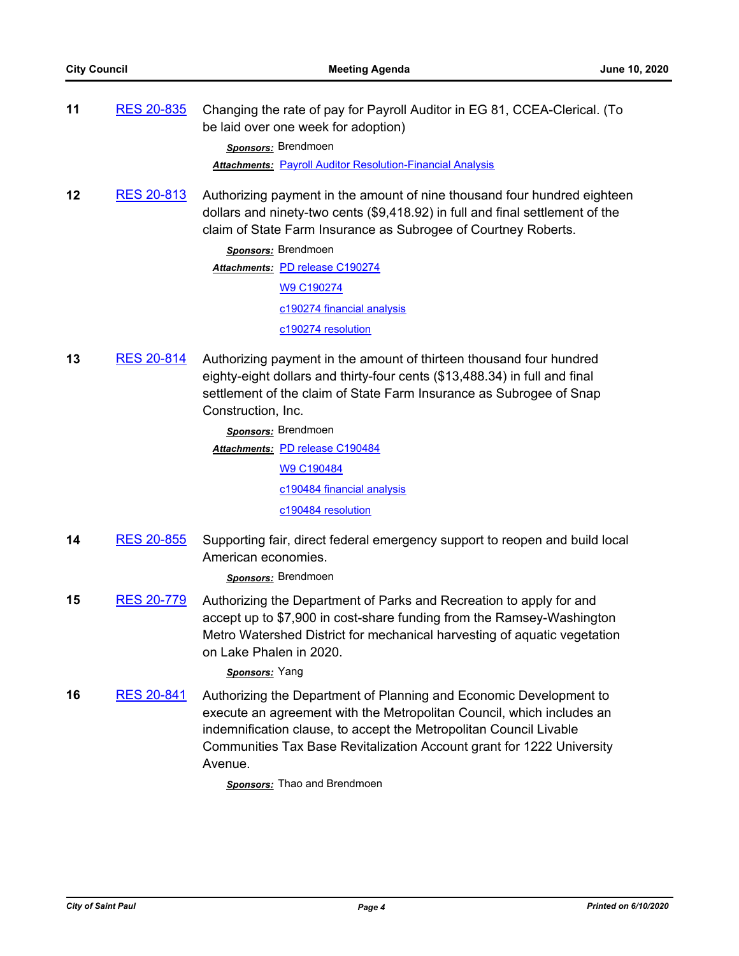**11** [RES 20-835](http://stpaul.legistar.com/gateway.aspx?m=l&id=/matter.aspx?key=34767) Changing the rate of pay for Payroll Auditor in EG 81, CCEA-Clerical. (To be laid over one week for adoption)

*Sponsors:* Brendmoen

*Attachments:* [Payroll Auditor Resolution-Financial Analysis](http://StPaul.legistar.com/gateway.aspx?M=F&ID=6416fdf7-bcc5-4caf-b668-455496f331db.pdf)

**12** [RES 20-813](http://stpaul.legistar.com/gateway.aspx?m=l&id=/matter.aspx?key=34743) Authorizing payment in the amount of nine thousand four hundred eighteen dollars and ninety-two cents (\$9,418.92) in full and final settlement of the claim of State Farm Insurance as Subrogee of Courtney Roberts.

> *Sponsors:* Brendmoen Attachments: [PD release C190274](http://StPaul.legistar.com/gateway.aspx?M=F&ID=a63ed090-ace3-4857-80d6-4c975ba6dd9f.pdf) [W9 C190274](http://StPaul.legistar.com/gateway.aspx?M=F&ID=5a176a19-e2ee-4feb-a22a-26bbf00085e4.pdf) [c190274 financial analysis](http://StPaul.legistar.com/gateway.aspx?M=F&ID=274aa2eb-0ca2-481a-ba5d-2f54e2960ded.xlsx) [c190274 resolution](http://StPaul.legistar.com/gateway.aspx?M=F&ID=5cbc0117-bc61-4da2-a97a-86dd46a8435b.docx)

**13** [RES 20-814](http://stpaul.legistar.com/gateway.aspx?m=l&id=/matter.aspx?key=34744) Authorizing payment in the amount of thirteen thousand four hundred eighty-eight dollars and thirty-four cents (\$13,488.34) in full and final settlement of the claim of State Farm Insurance as Subrogee of Snap Construction, Inc.

> *Sponsors:* Brendmoen Attachments: **[PD release C190484](http://StPaul.legistar.com/gateway.aspx?M=F&ID=1e5d6fa1-8cf8-4c93-bb78-98560da2426e.pdf)** [W9 C190484](http://StPaul.legistar.com/gateway.aspx?M=F&ID=7fc2c2d1-f706-4c74-b410-a42a926ec952.pdf) [c190484 financial analysis](http://StPaul.legistar.com/gateway.aspx?M=F&ID=e18b10aa-2578-4856-b278-eaf7f7811c27.xlsx) [c190484 resolution](http://StPaul.legistar.com/gateway.aspx?M=F&ID=66614696-2b31-4fb1-ac18-6d6117a53535.docx)

**14** [RES 20-855](http://stpaul.legistar.com/gateway.aspx?m=l&id=/matter.aspx?key=34795) Supporting fair, direct federal emergency support to reopen and build local American economies.

*Sponsors:* Brendmoen

**15** [RES 20-779](http://stpaul.legistar.com/gateway.aspx?m=l&id=/matter.aspx?key=34701) Authorizing the Department of Parks and Recreation to apply for and accept up to \$7,900 in cost-share funding from the Ramsey-Washington Metro Watershed District for mechanical harvesting of aquatic vegetation on Lake Phalen in 2020.

*Sponsors:* Yang

**16** [RES 20-841](http://stpaul.legistar.com/gateway.aspx?m=l&id=/matter.aspx?key=34779) Authorizing the Department of Planning and Economic Development to execute an agreement with the Metropolitan Council, which includes an indemnification clause, to accept the Metropolitan Council Livable Communities Tax Base Revitalization Account grant for 1222 University Avenue.

*Sponsors:* Thao and Brendmoen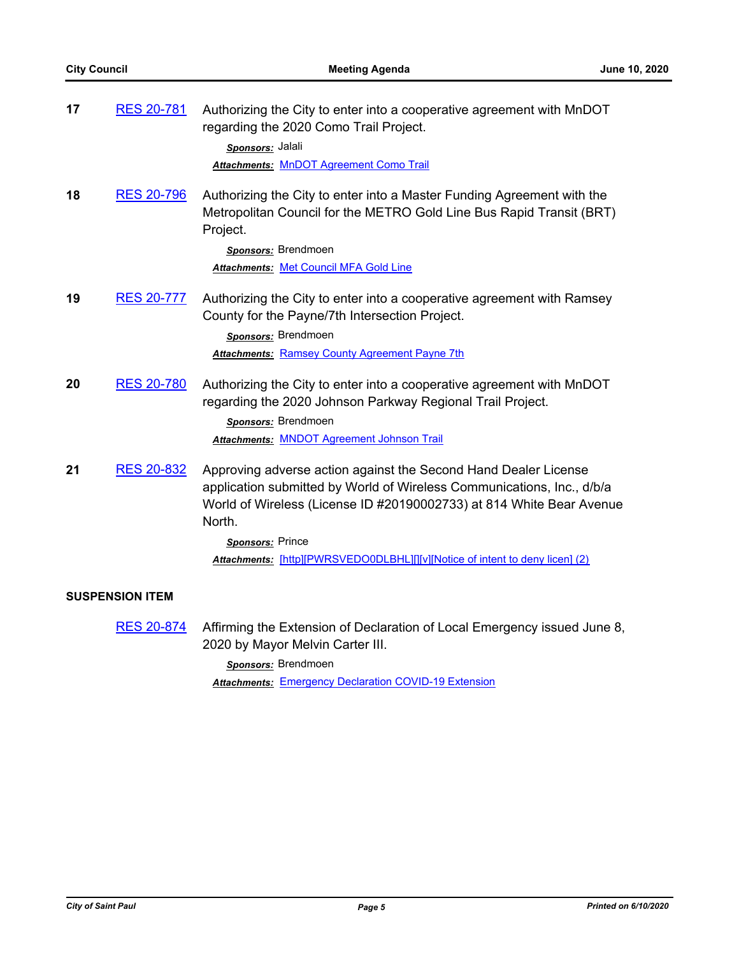| 17 | <b>RES 20-781</b>      | Authorizing the City to enter into a cooperative agreement with MnDOT<br>regarding the 2020 Como Trail Project.<br>Sponsors: Jalali<br>Attachments: MnDOT Agreement Como Trail                                                                                                                                                  |
|----|------------------------|---------------------------------------------------------------------------------------------------------------------------------------------------------------------------------------------------------------------------------------------------------------------------------------------------------------------------------|
| 18 | <u>RES 20-796</u>      | Authorizing the City to enter into a Master Funding Agreement with the<br>Metropolitan Council for the METRO Gold Line Bus Rapid Transit (BRT)<br>Project.<br>Sponsors: Brendmoen<br>Attachments: Met Council MFA Gold Line                                                                                                     |
| 19 | <b>RES 20-777</b>      | Authorizing the City to enter into a cooperative agreement with Ramsey<br>County for the Payne/7th Intersection Project.<br>Sponsors: Brendmoen<br><b>Attachments: Ramsey County Agreement Payne 7th</b>                                                                                                                        |
| 20 | <b>RES 20-780</b>      | Authorizing the City to enter into a cooperative agreement with MnDOT<br>regarding the 2020 Johnson Parkway Regional Trail Project.<br>Sponsors: Brendmoen<br><b>Attachments: MNDOT Agreement Johnson Trail</b>                                                                                                                 |
| 21 | <b>RES 20-832</b>      | Approving adverse action against the Second Hand Dealer License<br>application submitted by World of Wireless Communications, Inc., d/b/a<br>World of Wireless (License ID #20190002733) at 814 White Bear Avenue<br>North.<br>Sponsors: Prince<br>Attachments: [http][PWRSVEDO0DLBHL][][v][Notice of intent to deny licen] (2) |
|    | <b>SUSPENSION ITEM</b> |                                                                                                                                                                                                                                                                                                                                 |
|    | <b>RES 20-874</b>      | Affirming the Extension of Declaration of Local Emergency issued June 8,<br>2020 by Mayor Melvin Carter III.                                                                                                                                                                                                                    |

*Sponsors:* Brendmoen

*Attachments:* [Emergency Declaration COVID-19 Extension](http://StPaul.legistar.com/gateway.aspx?M=F&ID=f7eaff16-7dd0-4b02-9705-f50b3e1054d5.pdf)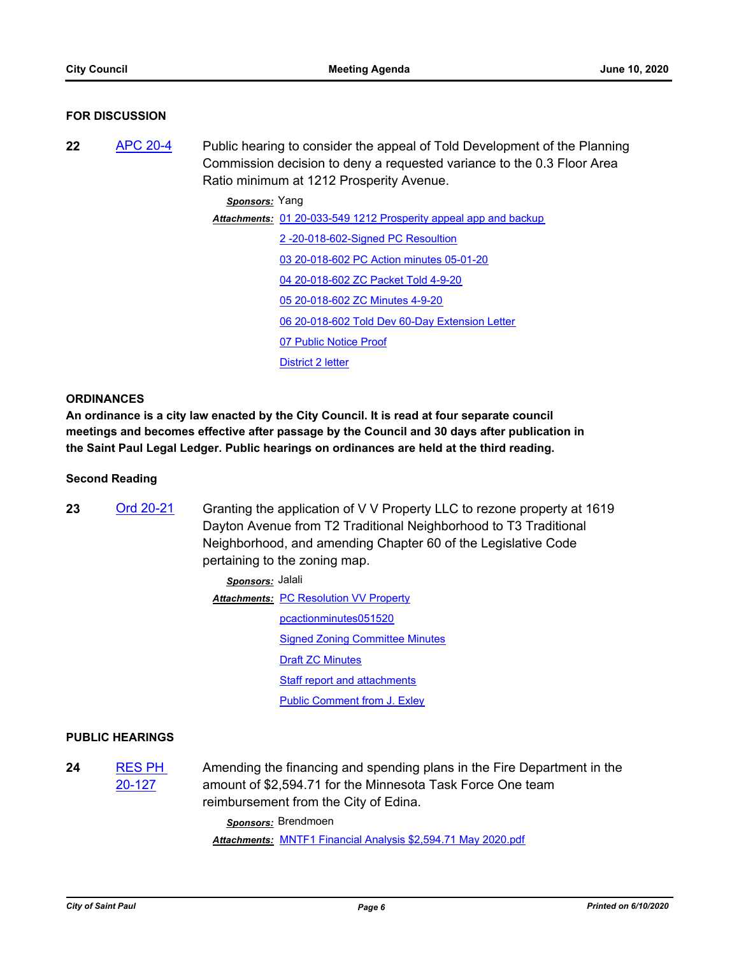## **FOR DISCUSSION**

**22** [APC 20-4](http://stpaul.legistar.com/gateway.aspx?m=l&id=/matter.aspx?key=34693) Public hearing to consider the appeal of Told Development of the Planning Commission decision to deny a requested variance to the 0.3 Floor Area Ratio minimum at 1212 Prosperity Avenue.

*Sponsors:* Yang

Attachments: [01 20-033-549 1212 Prosperity appeal app and backup](http://StPaul.legistar.com/gateway.aspx?M=F&ID=2f2b0d0a-3228-4e5b-b33b-cd3e2bf08892.pdf) [2 -20-018-602-Signed PC Resoultion](http://StPaul.legistar.com/gateway.aspx?M=F&ID=2f649c43-4b75-45f7-b079-6921cc9b24b7.pdf) [03 20-018-602 PC Action minutes 05-01-20](http://StPaul.legistar.com/gateway.aspx?M=F&ID=03f926d6-83a8-4421-b37f-d6978c90eedf.pdf) [04 20-018-602 ZC Packet Told 4-9-20](http://StPaul.legistar.com/gateway.aspx?M=F&ID=d4f19a22-92a6-416a-b001-702f197359a8.pdf) [05 20-018-602 ZC Minutes 4-9-20](http://StPaul.legistar.com/gateway.aspx?M=F&ID=d13f9310-bb97-41de-9c45-6901f7a1e5ae.pdf) [06 20-018-602 Told Dev 60-Day Extension Letter](http://StPaul.legistar.com/gateway.aspx?M=F&ID=617dd6be-6590-49ed-a5c6-8c1eae520057.pdf) [07 Public Notice Proof](http://StPaul.legistar.com/gateway.aspx?M=F&ID=02974d6c-684e-479d-a971-b16e00545902.pdf) [District 2 letter](http://StPaul.legistar.com/gateway.aspx?M=F&ID=eb0a66ee-3b7e-4612-9178-06f793e15dd8.docx)

## **ORDINANCES**

**An ordinance is a city law enacted by the City Council. It is read at four separate council meetings and becomes effective after passage by the Council and 30 days after publication in the Saint Paul Legal Ledger. Public hearings on ordinances are held at the third reading.**

## **Second Reading**

23 [Ord 20-21](http://stpaul.legistar.com/gateway.aspx?m=l&id=/matter.aspx?key=34681) Granting the application of V V Property LLC to rezone property at 1619 Dayton Avenue from T2 Traditional Neighborhood to T3 Traditional Neighborhood, and amending Chapter 60 of the Legislative Code pertaining to the zoning map.

| Sponsors: Jalali |                                               |
|------------------|-----------------------------------------------|
|                  | <b>Attachments: PC Resolution VV Property</b> |
|                  | pcactionminutes051520                         |
|                  | <b>Signed Zoning Committee Minutes</b>        |
|                  | <b>Draft ZC Minutes</b>                       |
|                  | <b>Staff report and attachments</b>           |
|                  | <b>Public Comment from J. Exley</b>           |

# **PUBLIC HEARINGS**

**24** [RES PH](http://stpaul.legistar.com/gateway.aspx?m=l&id=/matter.aspx?key=34657)  20-127 Amending the financing and spending plans in the Fire Department in the amount of \$2,594.71 for the Minnesota Task Force One team reimbursement from the City of Edina.

> *Sponsors:* Brendmoen *Attachments:* [MNTF1 Financial Analysis \\$2,594.71 May 2020.pdf](http://StPaul.legistar.com/gateway.aspx?M=F&ID=39e1603c-d58d-42bc-8944-177eb39eb72f.pdf)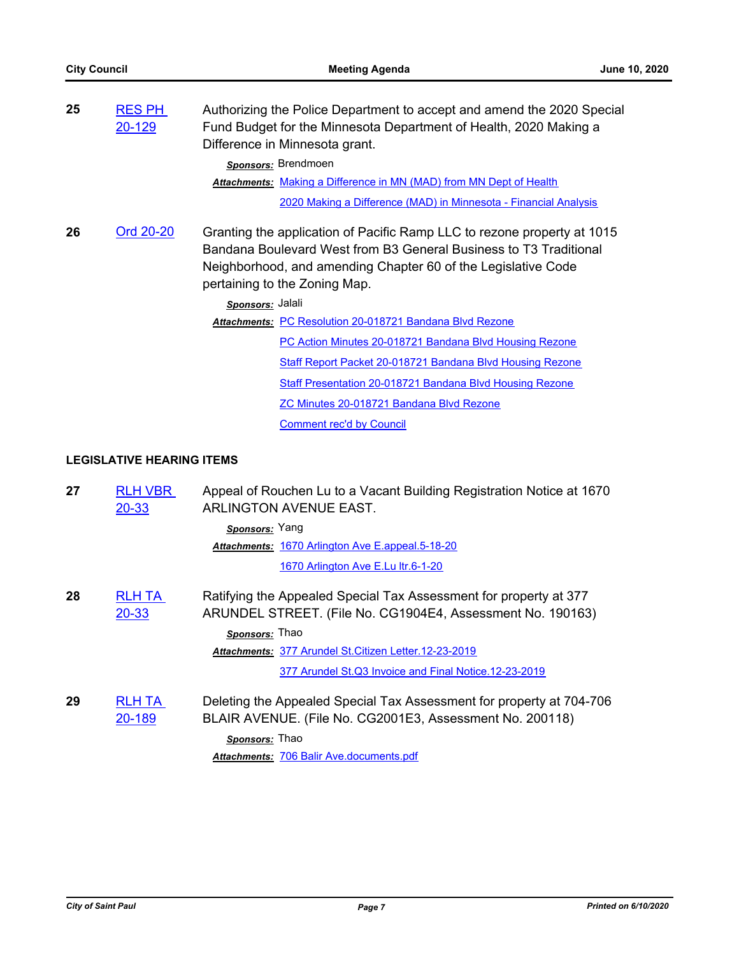| 25 | <b>RES PH</b><br>20-129 | Authorizing the Police Department to accept and amend the 2020 Special<br>Fund Budget for the Minnesota Department of Health, 2020 Making a<br>Difference in Minnesota grant.                                                                  |
|----|-------------------------|------------------------------------------------------------------------------------------------------------------------------------------------------------------------------------------------------------------------------------------------|
|    |                         | Sponsors: Brendmoen                                                                                                                                                                                                                            |
|    |                         | <b>Attachments: Making a Difference in MN (MAD) from MN Dept of Health</b>                                                                                                                                                                     |
|    |                         | 2020 Making a Difference (MAD) in Minnesota - Financial Analysis                                                                                                                                                                               |
| 26 | Ord 20-20               | Granting the application of Pacific Ramp LLC to rezone property at 1015<br>Bandana Boulevard West from B3 General Business to T3 Traditional<br>Neighborhood, and amending Chapter 60 of the Legislative Code<br>pertaining to the Zoning Map. |
|    |                         | Sponsors: Jalali                                                                                                                                                                                                                               |
|    |                         | Attachments: PC Resolution 20-018721 Bandana Blvd Rezone                                                                                                                                                                                       |
|    |                         | PC Action Minutes 20-018721 Bandana Blvd Housing Rezone                                                                                                                                                                                        |
|    |                         | Staff Report Packet 20-018721 Bandana Blvd Housing Rezone                                                                                                                                                                                      |
|    |                         | <b>Staff Presentation 20-018721 Bandana Blvd Housing Rezone</b>                                                                                                                                                                                |
|    |                         | ZC Minutes 20-018721 Bandana Blvd Rezone                                                                                                                                                                                                       |
|    |                         | <b>Comment rec'd by Council</b>                                                                                                                                                                                                                |

# **LEGISLATIVE HEARING ITEMS**

| 27 | <b>RLH VBR</b><br>$20 - 33$ | Appeal of Rouchen Lu to a Vacant Building Registration Notice at 1670<br>ARLINGTON AVENUE EAST.                                  |
|----|-----------------------------|----------------------------------------------------------------------------------------------------------------------------------|
|    |                             | Sponsors: Yang                                                                                                                   |
|    |                             | <b>Attachments: 1670 Arlington Ave E.appeal.5-18-20</b>                                                                          |
|    |                             | 1670 Arlington Ave E.Lu ltr.6-1-20                                                                                               |
| 28 | <b>RLH TA</b><br>20-33      | Ratifying the Appealed Special Tax Assessment for property at 377<br>ARUNDEL STREET. (File No. CG1904E4, Assessment No. 190163)  |
|    |                             | <b>Sponsors: Thao</b>                                                                                                            |
|    |                             | Attachments: 377 Arundel St. Citizen Letter. 12-23-2019                                                                          |
|    |                             | 377 Arundel St.Q3 Invoice and Final Notice.12-23-2019                                                                            |
| 29 | <b>RLH TA</b><br>20-189     | Deleting the Appealed Special Tax Assessment for property at 704-706<br>BLAIR AVENUE. (File No. CG2001E3, Assessment No. 200118) |
|    |                             | Sponsors: Thao                                                                                                                   |
|    |                             | Attachments: 706 Balir Ave.documents.pdf                                                                                         |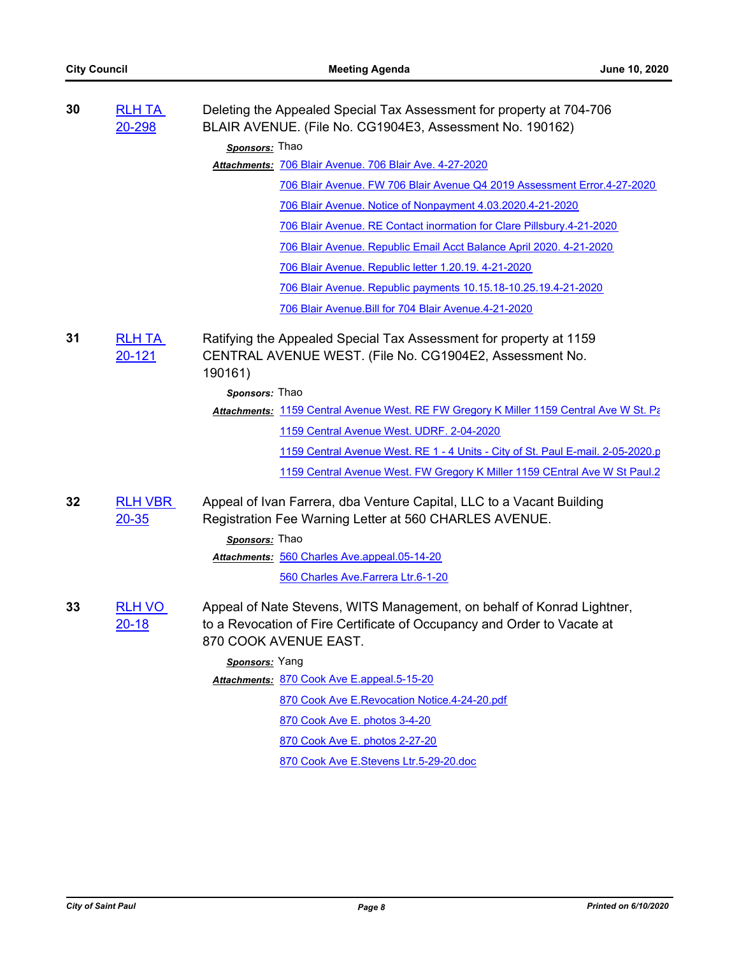| 30 | <b>RLH TA</b><br>20-298     | Deleting the Appealed Special Tax Assessment for property at 704-706<br>BLAIR AVENUE. (File No. CG1904E3, Assessment No. 190162)                                           |
|----|-----------------------------|----------------------------------------------------------------------------------------------------------------------------------------------------------------------------|
|    |                             | Sponsors: Thao                                                                                                                                                             |
|    |                             | Attachments: 706 Blair Avenue. 706 Blair Ave. 4-27-2020                                                                                                                    |
|    |                             | 706 Blair Avenue. FW 706 Blair Avenue Q4 2019 Assessment Error.4-27-2020                                                                                                   |
|    |                             | 706 Blair Avenue. Notice of Nonpayment 4.03.2020.4-21-2020                                                                                                                 |
|    |                             | 706 Blair Avenue. RE Contact inormation for Clare Pillsbury.4-21-2020                                                                                                      |
|    |                             | 706 Blair Avenue. Republic Email Acct Balance April 2020. 4-21-2020                                                                                                        |
|    |                             | 706 Blair Avenue. Republic letter 1.20.19. 4-21-2020                                                                                                                       |
|    |                             | 706 Blair Avenue. Republic payments 10.15.18-10.25.19.4-21-2020                                                                                                            |
|    |                             | 706 Blair Avenue. Bill for 704 Blair Avenue. 4-21-2020                                                                                                                     |
| 31 | <b>RLH TA</b><br>20-121     | Ratifying the Appealed Special Tax Assessment for property at 1159<br>CENTRAL AVENUE WEST. (File No. CG1904E2, Assessment No.<br>190161)                                   |
|    |                             | Sponsors: Thao                                                                                                                                                             |
|    |                             | Attachments: 1159 Central Avenue West. RE FW Gregory K Miller 1159 Central Ave W St. Pa                                                                                    |
|    |                             | 1159 Central Avenue West. UDRF. 2-04-2020                                                                                                                                  |
|    |                             | 1159 Central Avenue West. RE 1 - 4 Units - City of St. Paul E-mail. 2-05-2020.p                                                                                            |
|    |                             | 1159 Central Avenue West. FW Gregory K Miller 1159 CEntral Ave W St Paul.2                                                                                                 |
| 32 | <b>RLH VBR</b><br>$20 - 35$ | Appeal of Ivan Farrera, dba Venture Capital, LLC to a Vacant Building<br>Registration Fee Warning Letter at 560 CHARLES AVENUE.                                            |
|    |                             | Sponsors: Thao                                                                                                                                                             |
|    |                             | Attachments: 560 Charles Ave.appeal.05-14-20                                                                                                                               |
|    |                             | 560 Charles Ave. Farrera Ltr.6-1-20                                                                                                                                        |
| 33 | <b>RLH VO</b><br>$20 - 18$  | Appeal of Nate Stevens, WITS Management, on behalf of Konrad Lightner,<br>to a Revocation of Fire Certificate of Occupancy and Order to Vacate at<br>870 COOK AVENUE EAST. |
|    |                             | Sponsors: Yang                                                                                                                                                             |
|    |                             | Attachments: 870 Cook Ave E.appeal.5-15-20                                                                                                                                 |
|    |                             | 870 Cook Ave E.Revocation Notice.4-24-20.pdf                                                                                                                               |
|    |                             | 870 Cook Ave E. photos 3-4-20                                                                                                                                              |
|    |                             | 870 Cook Ave E. photos 2-27-20                                                                                                                                             |
|    |                             | 870 Cook Ave E.Stevens Ltr.5-29-20.doc                                                                                                                                     |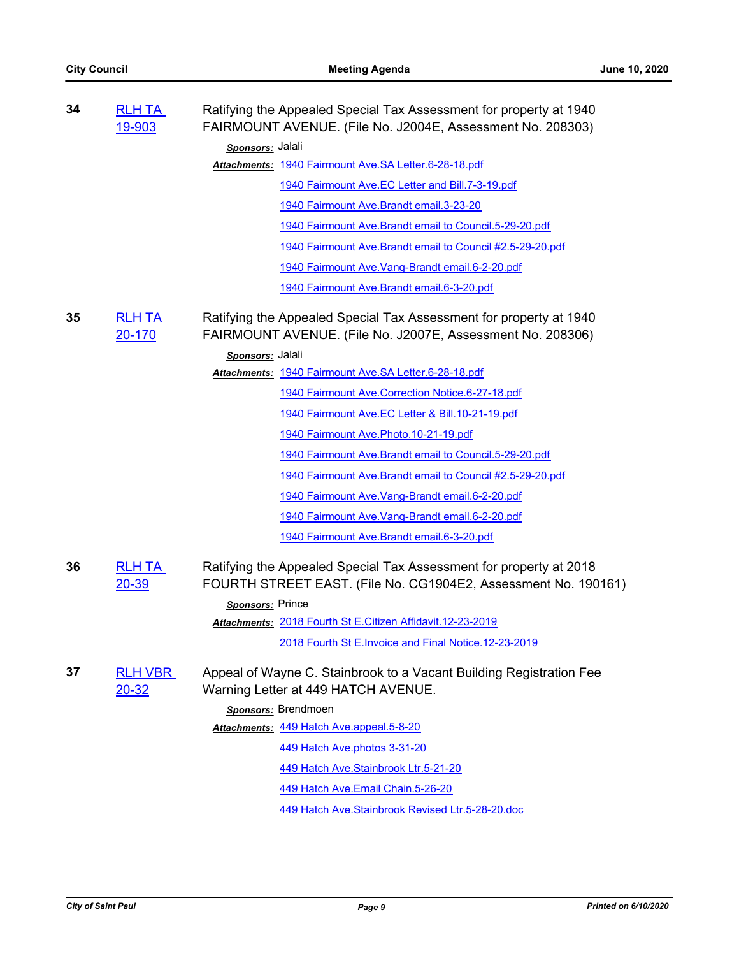| 34 | <b>RLH TA</b><br>19-903     | Ratifying the Appealed Special Tax Assessment for property at 1940<br>FAIRMOUNT AVENUE. (File No. J2004E, Assessment No. 208303)     |
|----|-----------------------------|--------------------------------------------------------------------------------------------------------------------------------------|
|    |                             | Sponsors: Jalali                                                                                                                     |
|    |                             | Attachments: 1940 Fairmount Ave.SA Letter.6-28-18.pdf                                                                                |
|    |                             | 1940 Fairmount Ave.EC Letter and Bill.7-3-19.pdf                                                                                     |
|    |                             | 1940 Fairmount Ave. Brandt email. 3-23-20                                                                                            |
|    |                             | 1940 Fairmount Ave. Brandt email to Council. 5-29-20.pdf                                                                             |
|    |                             | 1940 Fairmount Ave. Brandt email to Council #2.5-29-20.pdf                                                                           |
|    |                             | 1940 Fairmount Ave. Vang-Brandt email. 6-2-20.pdf                                                                                    |
|    |                             | 1940 Fairmount Ave. Brandt email. 6-3-20.pdf                                                                                         |
| 35 | <b>RLH TA</b><br>20-170     | Ratifying the Appealed Special Tax Assessment for property at 1940<br>FAIRMOUNT AVENUE. (File No. J2007E, Assessment No. 208306)     |
|    |                             | Sponsors: Jalali                                                                                                                     |
|    |                             | Attachments: 1940 Fairmount Ave.SA Letter.6-28-18.pdf                                                                                |
|    |                             | 1940 Fairmount Ave. Correction Notice. 6-27-18.pdf                                                                                   |
|    |                             | 1940 Fairmount Ave.EC Letter & Bill.10-21-19.pdf                                                                                     |
|    |                             | 1940 Fairmount Ave. Photo. 10-21-19.pdf                                                                                              |
|    |                             | 1940 Fairmount Ave. Brandt email to Council. 5-29-20.pdf                                                                             |
|    |                             | 1940 Fairmount Ave. Brandt email to Council #2.5-29-20.pdf                                                                           |
|    |                             | 1940 Fairmount Ave. Vang-Brandt email. 6-2-20.pdf                                                                                    |
|    |                             | 1940 Fairmount Ave. Vang-Brandt email. 6-2-20.pdf                                                                                    |
|    |                             | 1940 Fairmount Ave. Brandt email. 6-3-20.pdf                                                                                         |
| 36 | <b>RLH TA</b><br>$20 - 39$  | Ratifying the Appealed Special Tax Assessment for property at 2018<br>FOURTH STREET EAST. (File No. CG1904E2, Assessment No. 190161) |
|    |                             | Sponsors: Prince                                                                                                                     |
|    |                             | Attachments: 2018 Fourth St E. Citizen Affidavit. 12-23-2019                                                                         |
|    |                             | 2018 Fourth St E. Invoice and Final Notice. 12-23-2019                                                                               |
| 37 | <b>RLH VBR</b><br>$20 - 32$ | Appeal of Wayne C. Stainbrook to a Vacant Building Registration Fee<br>Warning Letter at 449 HATCH AVENUE.                           |
|    |                             | Sponsors: Brendmoen                                                                                                                  |
|    |                             | Attachments: 449 Hatch Ave.appeal.5-8-20                                                                                             |
|    |                             | 449 Hatch Ave.photos 3-31-20                                                                                                         |
|    |                             | 449 Hatch Ave.Stainbrook Ltr.5-21-20                                                                                                 |
|    |                             | 449 Hatch Ave.Email Chain.5-26-20                                                                                                    |
|    |                             | 449 Hatch Ave.Stainbrook Revised Ltr.5-28-20.doc                                                                                     |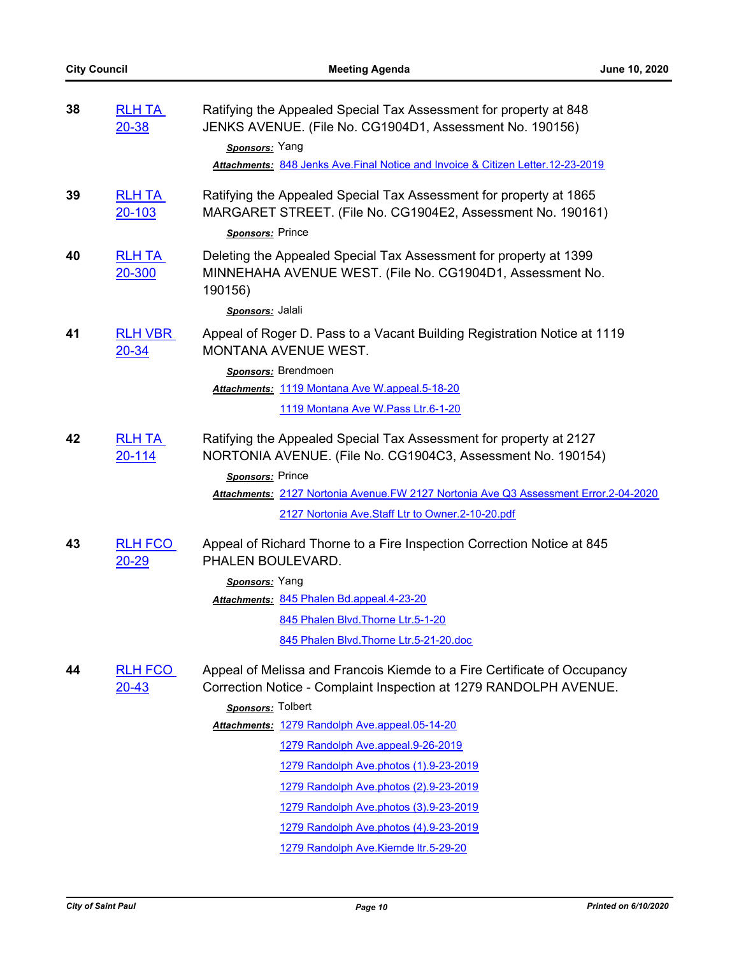| 38 | <b>RLH TA</b><br>$20 - 38$  | Ratifying the Appealed Special Tax Assessment for property at 848<br>JENKS AVENUE. (File No. CG1904D1, Assessment No. 190156)                         |
|----|-----------------------------|-------------------------------------------------------------------------------------------------------------------------------------------------------|
|    |                             | Sponsors: Yang                                                                                                                                        |
|    |                             | Attachments: 848 Jenks Ave. Final Notice and Invoice & Citizen Letter. 12-23-2019                                                                     |
| 39 | <b>RLH TA</b><br>$20 - 103$ | Ratifying the Appealed Special Tax Assessment for property at 1865<br>MARGARET STREET. (File No. CG1904E2, Assessment No. 190161)<br>Sponsors: Prince |
| 40 | <b>RLH TA</b><br>20-300     | Deleting the Appealed Special Tax Assessment for property at 1399<br>MINNEHAHA AVENUE WEST. (File No. CG1904D1, Assessment No.<br>190156)             |
|    |                             | Sponsors: Jalali                                                                                                                                      |
| 41 | <b>RLH VBR</b><br>$20 - 34$ | Appeal of Roger D. Pass to a Vacant Building Registration Notice at 1119<br>MONTANA AVENUE WEST.                                                      |
|    |                             | Sponsors: Brendmoen                                                                                                                                   |
|    |                             | Attachments: 1119 Montana Ave W.appeal.5-18-20                                                                                                        |
|    |                             | 1119 Montana Ave W. Pass Ltr. 6-1-20                                                                                                                  |
| 42 | <b>RLH TA</b><br>20-114     | Ratifying the Appealed Special Tax Assessment for property at 2127<br>NORTONIA AVENUE. (File No. CG1904C3, Assessment No. 190154)                     |
|    |                             | Sponsors: Prince                                                                                                                                      |
|    |                             | Attachments: 2127 Nortonia Avenue.FW 2127 Nortonia Ave Q3 Assessment Error.2-04-2020                                                                  |
|    |                             | 2127 Nortonia Ave.Staff Ltr to Owner.2-10-20.pdf                                                                                                      |
| 43 | <b>RLH FCO</b><br>$20 - 29$ | Appeal of Richard Thorne to a Fire Inspection Correction Notice at 845<br>PHALEN BOULEVARD.                                                           |
|    |                             | Sponsors: Yang                                                                                                                                        |
|    |                             | Attachments: 845 Phalen Bd.appeal.4-23-20                                                                                                             |
|    |                             | 845 Phalen Blvd. Thorne Ltr. 5-1-20                                                                                                                   |
|    |                             | 845 Phalen Blvd. Thorne Ltr. 5-21-20.doc                                                                                                              |
| 44 | <b>RLH FCO</b><br>$20 - 43$ | Appeal of Melissa and Francois Kiemde to a Fire Certificate of Occupancy<br>Correction Notice - Complaint Inspection at 1279 RANDOLPH AVENUE.         |
|    |                             | Sponsors: Tolbert                                                                                                                                     |
|    |                             | Attachments: 1279 Randolph Ave.appeal.05-14-20                                                                                                        |
|    |                             | 1279 Randolph Ave.appeal.9-26-2019                                                                                                                    |
|    |                             | 1279 Randolph Ave.photos (1).9-23-2019                                                                                                                |
|    |                             | 1279 Randolph Ave.photos (2).9-23-2019                                                                                                                |
|    |                             | 1279 Randolph Ave.photos (3).9-23-2019                                                                                                                |
|    |                             | 1279 Randolph Ave.photos (4).9-23-2019                                                                                                                |
|    |                             | 1279 Randolph Ave.Kiemde ltr.5-29-20                                                                                                                  |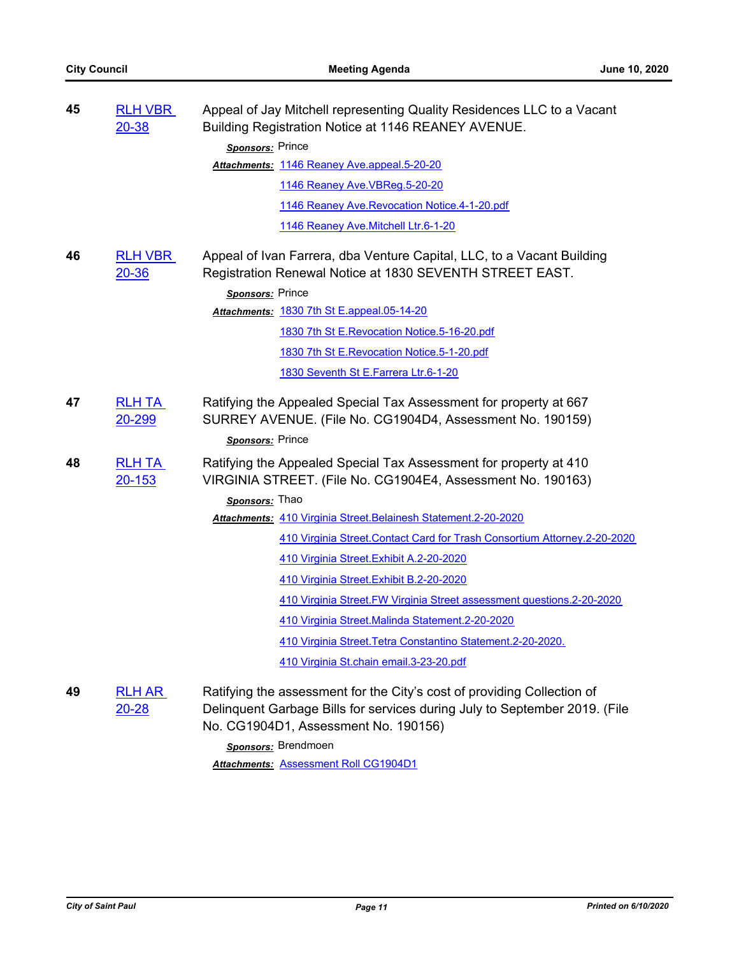| 45 | <b>RLH VBR</b><br>$20 - 38$ | Appeal of Jay Mitchell representing Quality Residences LLC to a Vacant<br>Building Registration Notice at 1146 REANEY AVENUE.                                                                                        |
|----|-----------------------------|----------------------------------------------------------------------------------------------------------------------------------------------------------------------------------------------------------------------|
|    |                             | Sponsors: Prince                                                                                                                                                                                                     |
|    |                             | Attachments: 1146 Reaney Ave.appeal.5-20-20                                                                                                                                                                          |
|    |                             | 1146 Reaney Ave. VBReg. 5-20-20                                                                                                                                                                                      |
|    |                             | 1146 Reaney Ave.Revocation Notice.4-1-20.pdf                                                                                                                                                                         |
|    |                             | 1146 Reaney Ave. Mitchell Ltr.6-1-20                                                                                                                                                                                 |
| 46 | <b>RLH VBR</b><br>$20 - 36$ | Appeal of Ivan Farrera, dba Venture Capital, LLC, to a Vacant Building<br>Registration Renewal Notice at 1830 SEVENTH STREET EAST.                                                                                   |
|    |                             | Sponsors: Prince                                                                                                                                                                                                     |
|    |                             | Attachments: 1830 7th St E.appeal.05-14-20                                                                                                                                                                           |
|    |                             | 1830 7th St E.Revocation Notice.5-16-20.pdf                                                                                                                                                                          |
|    |                             | 1830 7th St E.Revocation Notice.5-1-20.pdf                                                                                                                                                                           |
|    |                             | 1830 Seventh St E.Farrera Ltr.6-1-20                                                                                                                                                                                 |
| 47 | <b>RLH TA</b><br>20-299     | Ratifying the Appealed Special Tax Assessment for property at 667<br>SURREY AVENUE. (File No. CG1904D4, Assessment No. 190159)<br>Sponsors: Prince                                                                   |
|    |                             |                                                                                                                                                                                                                      |
| 48 | <b>RLH TA</b><br>20-153     | Ratifying the Appealed Special Tax Assessment for property at 410<br>VIRGINIA STREET. (File No. CG1904E4, Assessment No. 190163)                                                                                     |
|    |                             | Sponsors: Thao                                                                                                                                                                                                       |
|    |                             | Attachments: 410 Virginia Street. Belainesh Statement. 2-20-2020                                                                                                                                                     |
|    |                             | 410 Virginia Street. Contact Card for Trash Consortium Attorney. 2-20-2020                                                                                                                                           |
|    |                             | 410 Virginia Street. Exhibit A.2-20-2020                                                                                                                                                                             |
|    |                             | 410 Virginia Street. Exhibit B.2-20-2020                                                                                                                                                                             |
|    |                             | 410 Virginia Street. FW Virginia Street assessment questions. 2-20-2020                                                                                                                                              |
|    |                             | 410 Virginia Street. Malinda Statement. 2-20-2020                                                                                                                                                                    |
|    |                             | 410 Virginia Street. Tetra Constantino Statement. 2-20-2020.                                                                                                                                                         |
|    |                             | 410 Virginia St.chain email.3-23-20.pdf                                                                                                                                                                              |
| 49 | <b>RLH AR</b><br>$20 - 28$  | Ratifying the assessment for the City's cost of providing Collection of<br>Delinquent Garbage Bills for services during July to September 2019. (File<br>No. CG1904D1, Assessment No. 190156)<br>Sponsors: Brendmoen |
|    |                             | <b>D-11 OO4004D4</b>                                                                                                                                                                                                 |

*Attachments:* [Assessment Roll CG1904D1](http://StPaul.legistar.com/gateway.aspx?M=F&ID=d478dd45-f21a-487a-85ba-92b661365e6e.pdf)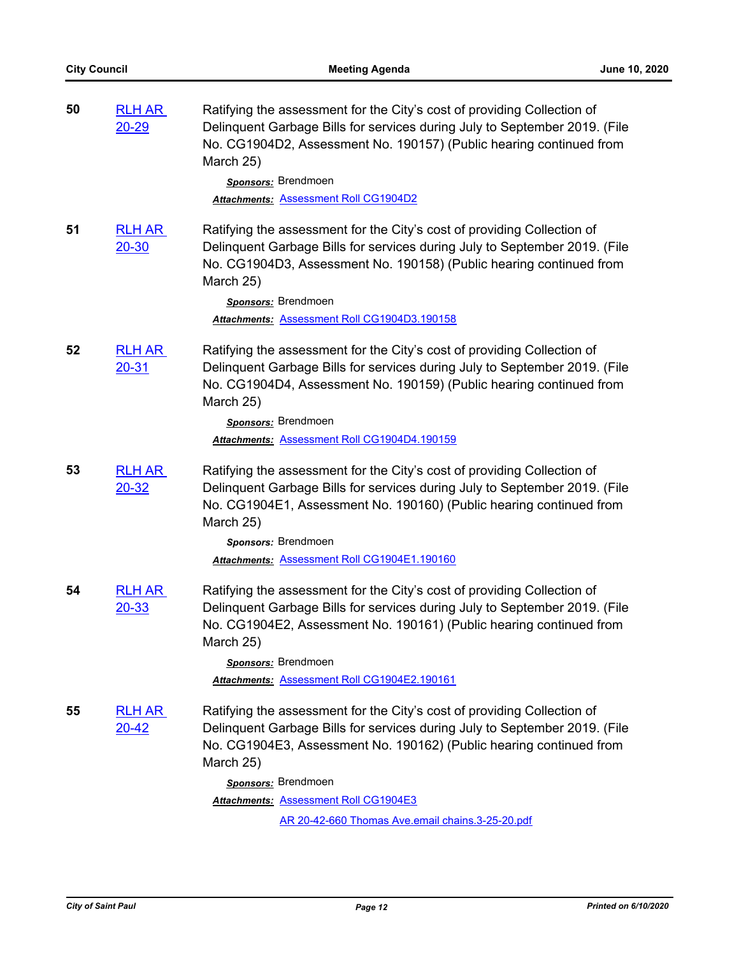| 50 | <b>RLH AR</b><br>$20 - 29$     | Ratifying the assessment for the City's cost of providing Collection of<br>Delinquent Garbage Bills for services during July to September 2019. (File<br>No. CG1904D2, Assessment No. 190157) (Public hearing continued from<br>March 25)<br>Sponsors: Brendmoen<br><b>Attachments: Assessment Roll CG1904D2</b> |
|----|--------------------------------|------------------------------------------------------------------------------------------------------------------------------------------------------------------------------------------------------------------------------------------------------------------------------------------------------------------|
| 51 | <b>RLH AR</b><br>$20 - 30$     | Ratifying the assessment for the City's cost of providing Collection of<br>Delinquent Garbage Bills for services during July to September 2019. (File<br>No. CG1904D3, Assessment No. 190158) (Public hearing continued from<br>March 25)<br>Sponsors: Brendmoen<br>Attachments: Assessment Roll CG1904D3.190158 |
| 52 | <b>RLH AR</b><br>$20 - 31$     | Ratifying the assessment for the City's cost of providing Collection of<br>Delinquent Garbage Bills for services during July to September 2019. (File<br>No. CG1904D4, Assessment No. 190159) (Public hearing continued from<br>March 25)<br>Sponsors: Brendmoen<br>Attachments: Assessment Roll CG1904D4.190159 |
| 53 | <b>RLH AR</b><br>$20 - 32$     | Ratifying the assessment for the City's cost of providing Collection of<br>Delinquent Garbage Bills for services during July to September 2019. (File<br>No. CG1904E1, Assessment No. 190160) (Public hearing continued from<br>March 25)<br>Sponsors: Brendmoen<br>Attachments: Assessment Roll CG1904E1.190160 |
| 54 | <b>RLH AR</b><br><u>20-33</u>  | Ratifying the assessment for the City's cost of providing Collection of<br>Delinquent Garbage Bills for services during July to September 2019. (File<br>No. CG1904E2, Assessment No. 190161) (Public hearing continued from<br>March 25)<br>Sponsors: Brendmoen<br>Attachments: Assessment Roll CG1904E2.190161 |
| 55 | <u>RLH AR_</u><br><u>20-42</u> | Ratifying the assessment for the City's cost of providing Collection of<br>Delinquent Garbage Bills for services during July to September 2019. (File<br>No. CG1904E3, Assessment No. 190162) (Public hearing continued from<br>March 25)                                                                        |
|    |                                | Sponsors: Brendmoen<br><b>Attachments: Assessment Roll CG1904E3</b>                                                                                                                                                                                                                                              |
|    |                                | AR 20-42-660 Thomas Ave.email chains.3-25-20.pdf                                                                                                                                                                                                                                                                 |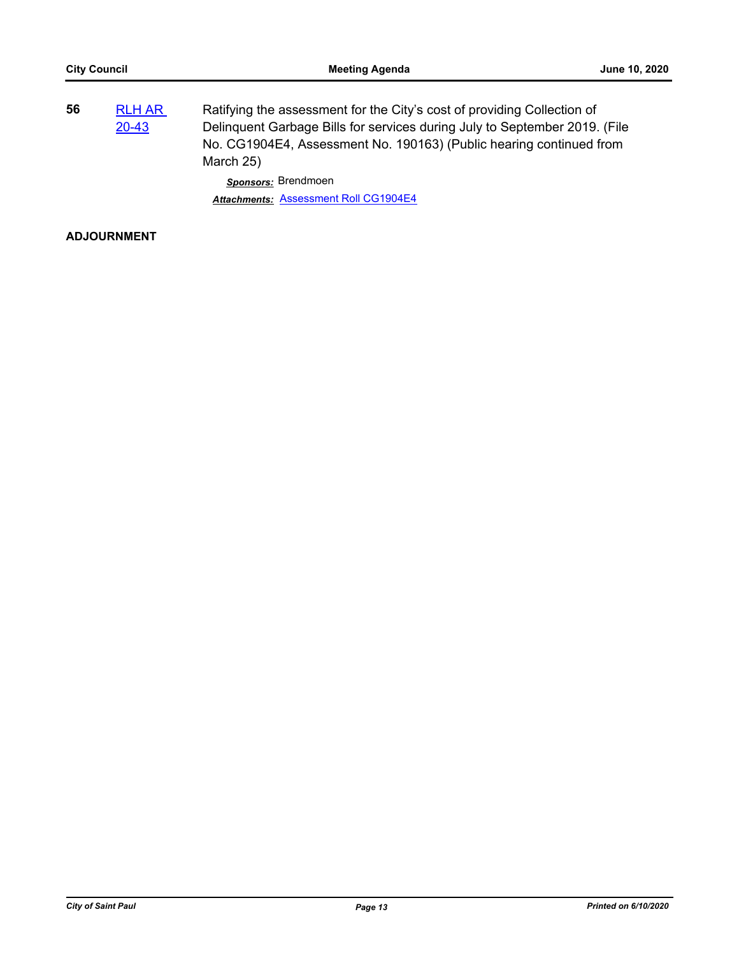| 56 | <b>RLH AR</b><br>20-43 | Ratifying the assessment for the City's cost of providing Collection of<br>Delinquent Garbage Bills for services during July to September 2019. (File<br>No. CG1904E4, Assessment No. 190163) (Public hearing continued from<br>March 25) |
|----|------------------------|-------------------------------------------------------------------------------------------------------------------------------------------------------------------------------------------------------------------------------------------|
|    |                        | Sponsors: Brendmoen                                                                                                                                                                                                                       |
|    |                        | Attachments: Assessment Roll CG1904E4                                                                                                                                                                                                     |

# **ADJOURNMENT**